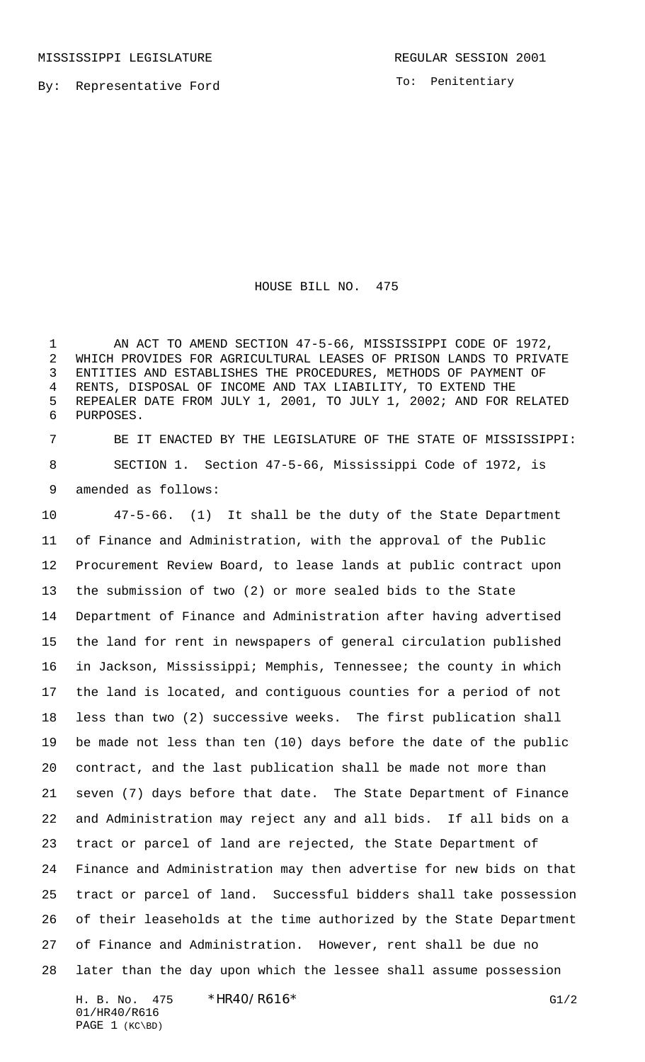To: Penitentiary

HOUSE BILL NO. 475

 AN ACT TO AMEND SECTION 47-5-66, MISSISSIPPI CODE OF 1972, WHICH PROVIDES FOR AGRICULTURAL LEASES OF PRISON LANDS TO PRIVATE ENTITIES AND ESTABLISHES THE PROCEDURES, METHODS OF PAYMENT OF RENTS, DISPOSAL OF INCOME AND TAX LIABILITY, TO EXTEND THE REPEALER DATE FROM JULY 1, 2001, TO JULY 1, 2002; AND FOR RELATED PURPOSES.

 BE IT ENACTED BY THE LEGISLATURE OF THE STATE OF MISSISSIPPI: SECTION 1. Section 47-5-66, Mississippi Code of 1972, is amended as follows:

 47-5-66. (1) It shall be the duty of the State Department of Finance and Administration, with the approval of the Public Procurement Review Board, to lease lands at public contract upon the submission of two (2) or more sealed bids to the State Department of Finance and Administration after having advertised the land for rent in newspapers of general circulation published in Jackson, Mississippi; Memphis, Tennessee; the county in which the land is located, and contiguous counties for a period of not less than two (2) successive weeks. The first publication shall be made not less than ten (10) days before the date of the public contract, and the last publication shall be made not more than seven (7) days before that date. The State Department of Finance and Administration may reject any and all bids. If all bids on a tract or parcel of land are rejected, the State Department of Finance and Administration may then advertise for new bids on that tract or parcel of land. Successful bidders shall take possession of their leaseholds at the time authorized by the State Department of Finance and Administration. However, rent shall be due no later than the day upon which the lessee shall assume possession

H. B. No. 475 \*HR40/R616\* G1/2 01/HR40/R616 PAGE 1 (KC\BD)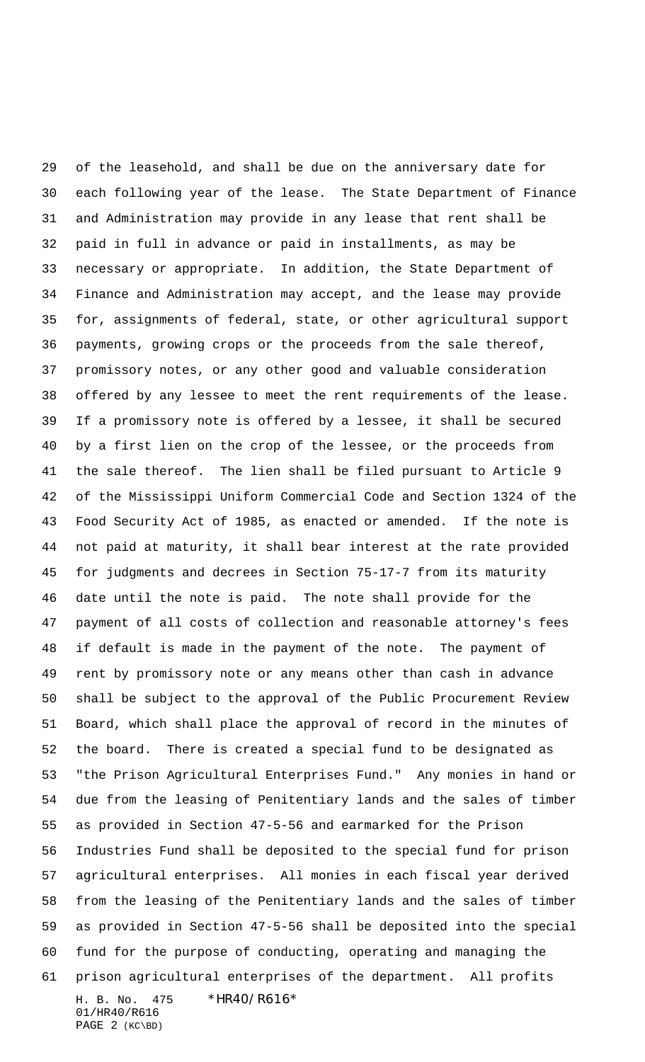H. B. No. 475 \*HR40/R616\* 01/HR40/R616 PAGE 2 (KC\BD) of the leasehold, and shall be due on the anniversary date for each following year of the lease. The State Department of Finance and Administration may provide in any lease that rent shall be paid in full in advance or paid in installments, as may be necessary or appropriate. In addition, the State Department of Finance and Administration may accept, and the lease may provide for, assignments of federal, state, or other agricultural support payments, growing crops or the proceeds from the sale thereof, promissory notes, or any other good and valuable consideration offered by any lessee to meet the rent requirements of the lease. If a promissory note is offered by a lessee, it shall be secured by a first lien on the crop of the lessee, or the proceeds from the sale thereof. The lien shall be filed pursuant to Article 9 of the Mississippi Uniform Commercial Code and Section 1324 of the Food Security Act of 1985, as enacted or amended. If the note is not paid at maturity, it shall bear interest at the rate provided for judgments and decrees in Section 75-17-7 from its maturity date until the note is paid. The note shall provide for the payment of all costs of collection and reasonable attorney's fees if default is made in the payment of the note. The payment of rent by promissory note or any means other than cash in advance shall be subject to the approval of the Public Procurement Review Board, which shall place the approval of record in the minutes of the board. There is created a special fund to be designated as "the Prison Agricultural Enterprises Fund." Any monies in hand or due from the leasing of Penitentiary lands and the sales of timber as provided in Section 47-5-56 and earmarked for the Prison Industries Fund shall be deposited to the special fund for prison agricultural enterprises. All monies in each fiscal year derived from the leasing of the Penitentiary lands and the sales of timber as provided in Section 47-5-56 shall be deposited into the special fund for the purpose of conducting, operating and managing the prison agricultural enterprises of the department. All profits